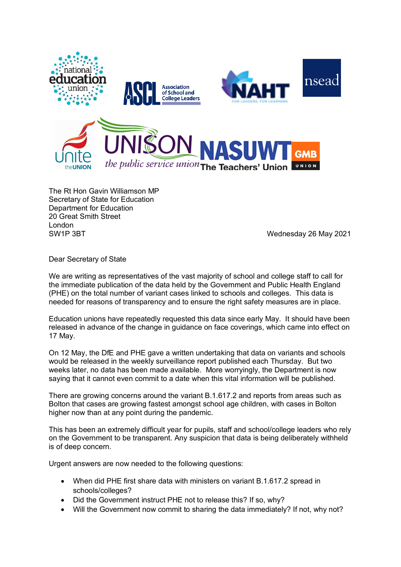

The Rt Hon Gavin Williamson MP Secretary of State for Education Department for Education 20 Great Smith Street London SW1P 3BT SW1P 3BT

Dear Secretary of State

We are writing as representatives of the vast majority of school and college staff to call for the immediate publication of the data held by the Government and Public Health England (PHE) on the total number of variant cases linked to schools and colleges. This data is needed for reasons of transparency and to ensure the right safety measures are in place.

Education unions have repeatedly requested this data since early May. It should have been released in advance of the change in guidance on face coverings, which came into effect on 17 May.

On 12 May, the DfE and PHE gave a written undertaking that data on variants and schools would be released in the weekly surveillance report published each Thursday. But two weeks later, no data has been made available. More worryingly, the Department is now saying that it cannot even commit to a date when this vital information will be published.

There are growing concerns around the variant B.1.617.2 and reports from areas such as Bolton that cases are growing fastest amongst school age children, with cases in Bolton higher now than at any point during the pandemic.

This has been an extremely difficult year for pupils, staff and school/college leaders who rely on the Government to be transparent. Any suspicion that data is being deliberately withheld is of deep concern.

Urgent answers are now needed to the following questions:

- When did PHE first share data with ministers on variant B.1.617.2 spread in schools/colleges?
- Did the Government instruct PHE not to release this? If so, why?
- Will the Government now commit to sharing the data immediately? If not, why not?